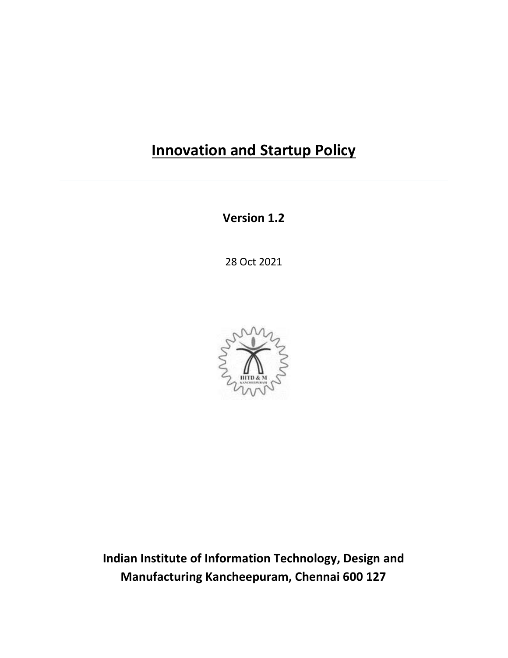# **Innovation and Startup Policy**

**Version 1.2**

28 Oct 2021



**Indian Institute of Information Technology, Design and Manufacturing Kancheepuram, Chennai 600 127**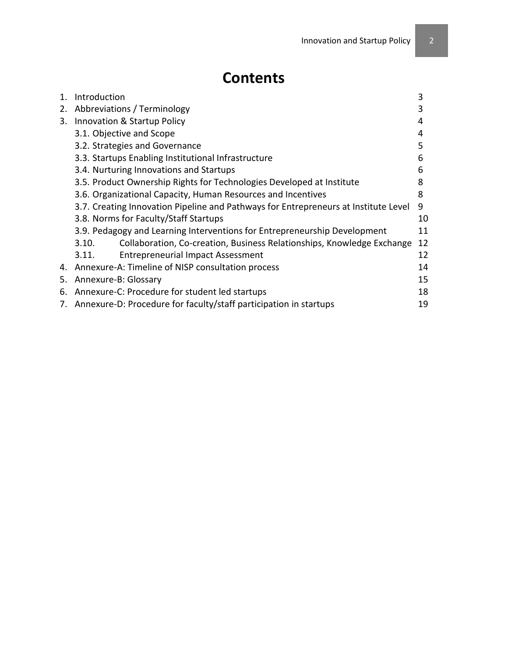# **Contents**

| $\mathbf{1}$ . | Introduction                                                                        | 3  |  |
|----------------|-------------------------------------------------------------------------------------|----|--|
| 2.             | Abbreviations / Terminology                                                         |    |  |
| 3.             | Innovation & Startup Policy                                                         | 4  |  |
|                | 3.1. Objective and Scope                                                            | 4  |  |
|                | 3.2. Strategies and Governance                                                      | 5  |  |
|                | 3.3. Startups Enabling Institutional Infrastructure                                 | 6  |  |
|                | 3.4. Nurturing Innovations and Startups                                             |    |  |
|                | 3.5. Product Ownership Rights for Technologies Developed at Institute               |    |  |
|                | 3.6. Organizational Capacity, Human Resources and Incentives                        |    |  |
|                | 3.7. Creating Innovation Pipeline and Pathways for Entrepreneurs at Institute Level | 9  |  |
|                | 3.8. Norms for Faculty/Staff Startups                                               |    |  |
|                | 3.9. Pedagogy and Learning Interventions for Entrepreneurship Development           | 11 |  |
|                | Collaboration, Co-creation, Business Relationships, Knowledge Exchange<br>3.10.     | 12 |  |
|                | <b>Entrepreneurial Impact Assessment</b><br>3.11.                                   | 12 |  |
|                | 4. Annexure-A: Timeline of NISP consultation process                                | 14 |  |
| 5.             | Annexure-B: Glossary                                                                |    |  |
| 6.             | Annexure-C: Procedure for student led startups                                      | 18 |  |
|                | 7. Annexure-D: Procedure for faculty/staff participation in startups<br>19          |    |  |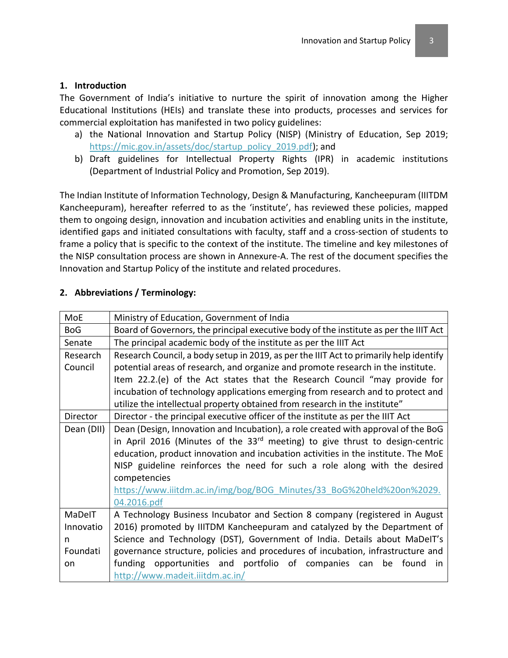#### **1. Introduction**

The Government of India's initiative to nurture the spirit of innovation among the Higher Educational Institutions (HEIs) and translate these into products, processes and services for commercial exploitation has manifested in two policy guidelines:

- a) the National Innovation and Startup Policy (NISP) (Ministry of Education, Sep 2019; [https://mic.gov.in/assets/doc/startup\\_policy\\_2019.pdf\)](https://mic.gov.in/assets/doc/startup_policy_2019.pdf); and
- b) Draft guidelines for Intellectual Property Rights (IPR) in academic institutions (Department of Industrial Policy and Promotion, Sep 2019).

The Indian Institute of Information Technology, Design & Manufacturing, Kancheepuram (IIITDM Kancheepuram), hereafter referred to as the 'institute', has reviewed these policies, mapped them to ongoing design, innovation and incubation activities and enabling units in the institute, identified gaps and initiated consultations with faculty, staff and a cross-section of students to frame a policy that is specific to the context of the institute. The timeline and key milestones of the NISP consultation process are shown in Annexure-A. The rest of the document specifies the Innovation and Startup Policy of the institute and related procedures.

| MoE        | Ministry of Education, Government of India                                               |  |
|------------|------------------------------------------------------------------------------------------|--|
| <b>BoG</b> | Board of Governors, the principal executive body of the institute as per the IIIT Act    |  |
| Senate     | The principal academic body of the institute as per the IIIT Act                         |  |
| Research   | Research Council, a body setup in 2019, as per the IIIT Act to primarily help identify   |  |
| Council    | potential areas of research, and organize and promote research in the institute.         |  |
|            | Item 22.2.(e) of the Act states that the Research Council "may provide for               |  |
|            | incubation of technology applications emerging from research and to protect and          |  |
|            | utilize the intellectual property obtained from research in the institute"               |  |
| Director   | Director - the principal executive officer of the institute as per the IIIT Act          |  |
| Dean (DII) | Dean (Design, Innovation and Incubation), a role created with approval of the BoG        |  |
|            | in April 2016 (Minutes of the 33 <sup>rd</sup> meeting) to give thrust to design-centric |  |
|            | education, product innovation and incubation activities in the institute. The MoE        |  |
|            | NISP guideline reinforces the need for such a role along with the desired                |  |
|            | competencies                                                                             |  |
|            | https://www.iiitdm.ac.in/img/bog/BOG Minutes/33 BoG%20held%20on%2029.                    |  |
|            | 04.2016.pdf                                                                              |  |
| MaDelT     | A Technology Business Incubator and Section 8 company (registered in August              |  |
| Innovatio  | 2016) promoted by IIITDM Kancheepuram and catalyzed by the Department of                 |  |
| n          | Science and Technology (DST), Government of India. Details about MaDeIT's                |  |
| Foundati   | governance structure, policies and procedures of incubation, infrastructure and          |  |
| on         | opportunities and portfolio of companies can<br>be found<br>funding<br>in.               |  |
|            | http://www.madeit.iiitdm.ac.in/                                                          |  |

#### **2. Abbreviations / Terminology:**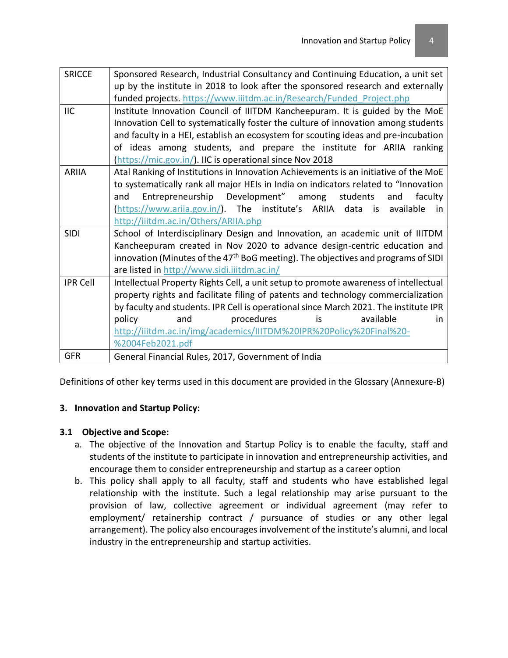| <b>SRICCE</b>   | Sponsored Research, Industrial Consultancy and Continuing Education, a unit set               |
|-----------------|-----------------------------------------------------------------------------------------------|
|                 | up by the institute in 2018 to look after the sponsored research and externally               |
|                 | funded projects. https://www.iiitdm.ac.in/Research/Funded Project.php                         |
| <b>IIC</b>      | Institute Innovation Council of IIITDM Kancheepuram. It is guided by the MoE                  |
|                 | Innovation Cell to systematically foster the culture of innovation among students             |
|                 | and faculty in a HEI, establish an ecosystem for scouting ideas and pre-incubation            |
|                 | of ideas among students, and prepare the institute for ARIIA ranking                          |
|                 | (https://mic.gov.in/). IIC is operational since Nov 2018                                      |
| <b>ARIIA</b>    | Atal Ranking of Institutions in Innovation Achievements is an initiative of the MoE           |
|                 | to systematically rank all major HEIs in India on indicators related to "Innovation           |
|                 | Entrepreneurship Development" among<br>students<br>and<br>faculty<br>and                      |
|                 | (https://www.ariia.gov.in/). The institute's ARIIA data is<br>available<br>.in                |
|                 | http://iiitdm.ac.in/Others/ARIIA.php                                                          |
| <b>SIDI</b>     | School of Interdisciplinary Design and Innovation, an academic unit of IIITDM                 |
|                 | Kancheepuram created in Nov 2020 to advance design-centric education and                      |
|                 | innovation (Minutes of the 47 <sup>th</sup> BoG meeting). The objectives and programs of SIDI |
|                 | are listed in http://www.sidi.iiitdm.ac.in/                                                   |
| <b>IPR Cell</b> | Intellectual Property Rights Cell, a unit setup to promote awareness of intellectual          |
|                 | property rights and facilitate filing of patents and technology commercialization             |
|                 | by faculty and students. IPR Cell is operational since March 2021. The institute IPR          |
|                 | procedures<br>policy<br>and<br>is<br>available<br>in.                                         |
|                 | http://iiitdm.ac.in/img/academics/IIITDM%20IPR%20Policy%20Final%20-                           |
|                 | %2004Feb2021.pdf                                                                              |
| <b>GFR</b>      | General Financial Rules, 2017, Government of India                                            |

Definitions of other key terms used in this document are provided in the Glossary (Annexure-B)

#### **3. Innovation and Startup Policy:**

#### **3.1 Objective and Scope:**

- a. The objective of the Innovation and Startup Policy is to enable the faculty, staff and students of the institute to participate in innovation and entrepreneurship activities, and encourage them to consider entrepreneurship and startup as a career option
- b. This policy shall apply to all faculty, staff and students who have established legal relationship with the institute. Such a legal relationship may arise pursuant to the provision of law, collective agreement or individual agreement (may refer to employment/ retainership contract / pursuance of studies or any other legal arrangement). The policy also encourages involvement of the institute's alumni, and local industry in the entrepreneurship and startup activities.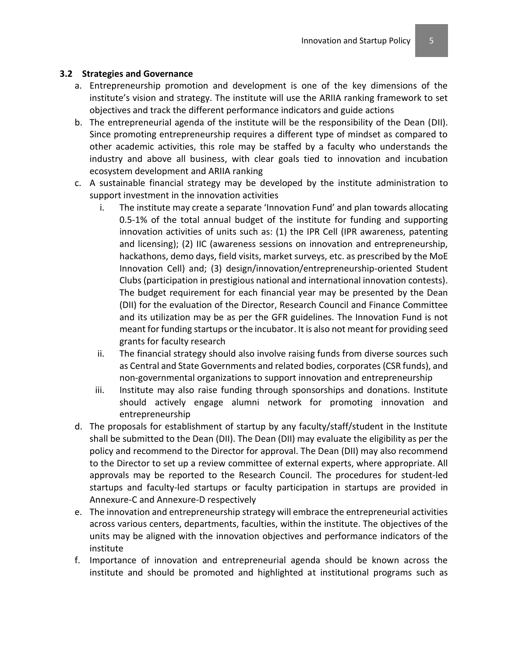#### **3.2 Strategies and Governance**

- a. Entrepreneurship promotion and development is one of the key dimensions of the institute's vision and strategy. The institute will use the ARIIA ranking framework to set objectives and track the different performance indicators and guide actions
- b. The entrepreneurial agenda of the institute will be the responsibility of the Dean (DII). Since promoting entrepreneurship requires a different type of mindset as compared to other academic activities, this role may be staffed by a faculty who understands the industry and above all business, with clear goals tied to innovation and incubation ecosystem development and ARIIA ranking
- c. A sustainable financial strategy may be developed by the institute administration to support investment in the innovation activities
	- i. The institute may create a separate 'Innovation Fund' and plan towards allocating 0.5-1% of the total annual budget of the institute for funding and supporting innovation activities of units such as: (1) the IPR Cell (IPR awareness, patenting and licensing); (2) IIC (awareness sessions on innovation and entrepreneurship, hackathons, demo days, field visits, market surveys, etc. as prescribed by the MoE Innovation Cell) and; (3) design/innovation/entrepreneurship-oriented Student Clubs (participation in prestigious national and international innovation contests). The budget requirement for each financial year may be presented by the Dean (DII) for the evaluation of the Director, Research Council and Finance Committee and its utilization may be as per the GFR guidelines. The Innovation Fund is not meant for funding startups or the incubator. It is also not meant for providing seed grants for faculty research
	- ii. The financial strategy should also involve raising funds from diverse sources such as Central and State Governments and related bodies, corporates (CSR funds), and non-governmental organizations to support innovation and entrepreneurship
	- iii. Institute may also raise funding through sponsorships and donations. Institute should actively engage alumni network for promoting innovation and entrepreneurship
- d. The proposals for establishment of startup by any faculty/staff/student in the Institute shall be submitted to the Dean (DII). The Dean (DII) may evaluate the eligibility as per the policy and recommend to the Director for approval. The Dean (DII) may also recommend to the Director to set up a review committee of external experts, where appropriate. All approvals may be reported to the Research Council. The procedures for student-led startups and faculty-led startups or faculty participation in startups are provided in Annexure-C and Annexure-D respectively
- e. The innovation and entrepreneurship strategy will embrace the entrepreneurial activities across various centers, departments, faculties, within the institute. The objectives of the units may be aligned with the innovation objectives and performance indicators of the institute
- f. Importance of innovation and entrepreneurial agenda should be known across the institute and should be promoted and highlighted at institutional programs such as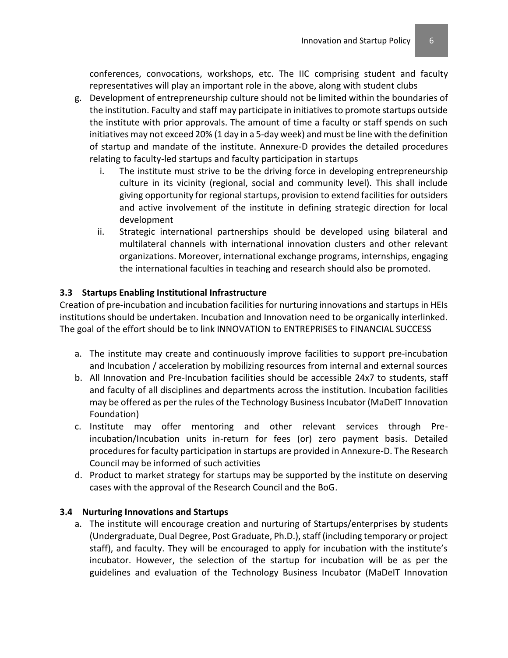conferences, convocations, workshops, etc. The IIC comprising student and faculty representatives will play an important role in the above, along with student clubs

- g. Development of entrepreneurship culture should not be limited within the boundaries of the institution. Faculty and staff may participate in initiatives to promote startups outside the institute with prior approvals. The amount of time a faculty or staff spends on such initiatives may not exceed 20% (1 day in a 5-day week) and must be line with the definition of startup and mandate of the institute. Annexure-D provides the detailed procedures relating to faculty-led startups and faculty participation in startups
	- i. The institute must strive to be the driving force in developing entrepreneurship culture in its vicinity (regional, social and community level). This shall include giving opportunity for regional startups, provision to extend facilities for outsiders and active involvement of the institute in defining strategic direction for local development
	- ii. Strategic international partnerships should be developed using bilateral and multilateral channels with international innovation clusters and other relevant organizations. Moreover, international exchange programs, internships, engaging the international faculties in teaching and research should also be promoted.

## **3.3 Startups Enabling Institutional Infrastructure**

Creation of pre-incubation and incubation facilities for nurturing innovations and startups in HEIs institutions should be undertaken. Incubation and Innovation need to be organically interlinked. The goal of the effort should be to link INNOVATION to ENTREPRISES to FINANCIAL SUCCESS

- a. The institute may create and continuously improve facilities to support pre-incubation and Incubation / acceleration by mobilizing resources from internal and external sources
- b. All Innovation and Pre-Incubation facilities should be accessible 24x7 to students, staff and faculty of all disciplines and departments across the institution. Incubation facilities may be offered as per the rules of the Technology Business Incubator (MaDeIT Innovation Foundation)
- c. Institute may offer mentoring and other relevant services through Preincubation/Incubation units in-return for fees (or) zero payment basis. Detailed procedures for faculty participation in startups are provided in Annexure-D. The Research Council may be informed of such activities
- d. Product to market strategy for startups may be supported by the institute on deserving cases with the approval of the Research Council and the BoG.

#### **3.4 Nurturing Innovations and Startups**

a. The institute will encourage creation and nurturing of Startups/enterprises by students (Undergraduate, Dual Degree, Post Graduate, Ph.D.), staff (including temporary or project staff), and faculty. They will be encouraged to apply for incubation with the institute's incubator. However, the selection of the startup for incubation will be as per the guidelines and evaluation of the Technology Business Incubator (MaDeIT Innovation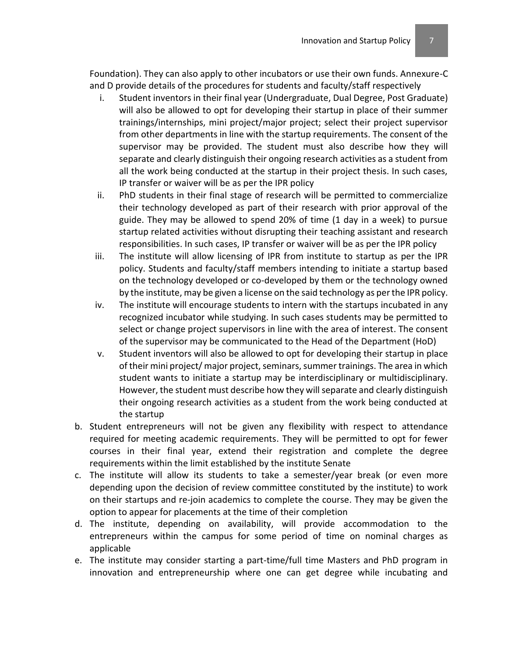Foundation). They can also apply to other incubators or use their own funds. Annexure-C and D provide details of the procedures for students and faculty/staff respectively

- i. Student inventors in their final year (Undergraduate, Dual Degree, Post Graduate) will also be allowed to opt for developing their startup in place of their summer trainings/internships, mini project/major project; select their project supervisor from other departments in line with the startup requirements. The consent of the supervisor may be provided. The student must also describe how they will separate and clearly distinguish their ongoing research activities as a student from all the work being conducted at the startup in their project thesis. In such cases, IP transfer or waiver will be as per the IPR policy
- ii. PhD students in their final stage of research will be permitted to commercialize their technology developed as part of their research with prior approval of the guide. They may be allowed to spend 20% of time (1 day in a week) to pursue startup related activities without disrupting their teaching assistant and research responsibilities. In such cases, IP transfer or waiver will be as per the IPR policy
- iii. The institute will allow licensing of IPR from institute to startup as per the IPR policy. Students and faculty/staff members intending to initiate a startup based on the technology developed or co-developed by them or the technology owned by the institute, may be given a license on the said technology as per the IPR policy.
- iv. The institute will encourage students to intern with the startups incubated in any recognized incubator while studying. In such cases students may be permitted to select or change project supervisors in line with the area of interest. The consent of the supervisor may be communicated to the Head of the Department (HoD)
- v. Student inventors will also be allowed to opt for developing their startup in place of their mini project/ major project, seminars, summer trainings. The area in which student wants to initiate a startup may be interdisciplinary or multidisciplinary. However, the student must describe how they will separate and clearly distinguish their ongoing research activities as a student from the work being conducted at the startup
- b. Student entrepreneurs will not be given any flexibility with respect to attendance required for meeting academic requirements. They will be permitted to opt for fewer courses in their final year, extend their registration and complete the degree requirements within the limit established by the institute Senate
- c. The institute will allow its students to take a semester/year break (or even more depending upon the decision of review committee constituted by the institute) to work on their startups and re-join academics to complete the course. They may be given the option to appear for placements at the time of their completion
- d. The institute, depending on availability, will provide accommodation to the entrepreneurs within the campus for some period of time on nominal charges as applicable
- e. The institute may consider starting a part-time/full time Masters and PhD program in innovation and entrepreneurship where one can get degree while incubating and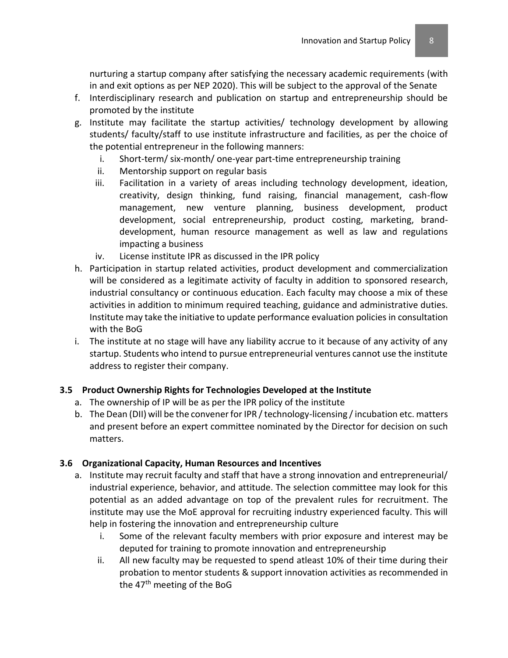nurturing a startup company after satisfying the necessary academic requirements (with in and exit options as per NEP 2020). This will be subject to the approval of the Senate

- f. Interdisciplinary research and publication on startup and entrepreneurship should be promoted by the institute
- g. Institute may facilitate the startup activities/ technology development by allowing students/ faculty/staff to use institute infrastructure and facilities, as per the choice of the potential entrepreneur in the following manners:
	- i. Short-term/ six-month/ one-year part-time entrepreneurship training
	- ii. Mentorship support on regular basis
	- iii. Facilitation in a variety of areas including technology development, ideation, creativity, design thinking, fund raising, financial management, cash-flow management, new venture planning, business development, product development, social entrepreneurship, product costing, marketing, branddevelopment, human resource management as well as law and regulations impacting a business
	- iv. License institute IPR as discussed in the IPR policy
- h. Participation in startup related activities, product development and commercialization will be considered as a legitimate activity of faculty in addition to sponsored research, industrial consultancy or continuous education. Each faculty may choose a mix of these activities in addition to minimum required teaching, guidance and administrative duties. Institute may take the initiative to update performance evaluation policies in consultation with the BoG
- i. The institute at no stage will have any liability accrue to it because of any activity of any startup. Students who intend to pursue entrepreneurial ventures cannot use the institute address to register their company.

## **3.5 Product Ownership Rights for Technologies Developed at the Institute**

- a. The ownership of IP will be as per the IPR policy of the institute
- b. The Dean (DII) will be the convener for IPR / technology-licensing / incubation etc. matters and present before an expert committee nominated by the Director for decision on such matters.

## **3.6 Organizational Capacity, Human Resources and Incentives**

- a. Institute may recruit faculty and staff that have a strong innovation and entrepreneurial/ industrial experience, behavior, and attitude. The selection committee may look for this potential as an added advantage on top of the prevalent rules for recruitment. The institute may use the MoE approval for recruiting industry experienced faculty. This will help in fostering the innovation and entrepreneurship culture
	- i. Some of the relevant faculty members with prior exposure and interest may be deputed for training to promote innovation and entrepreneurship
	- ii. All new faculty may be requested to spend atleast 10% of their time during their probation to mentor students & support innovation activities as recommended in the 47<sup>th</sup> meeting of the BoG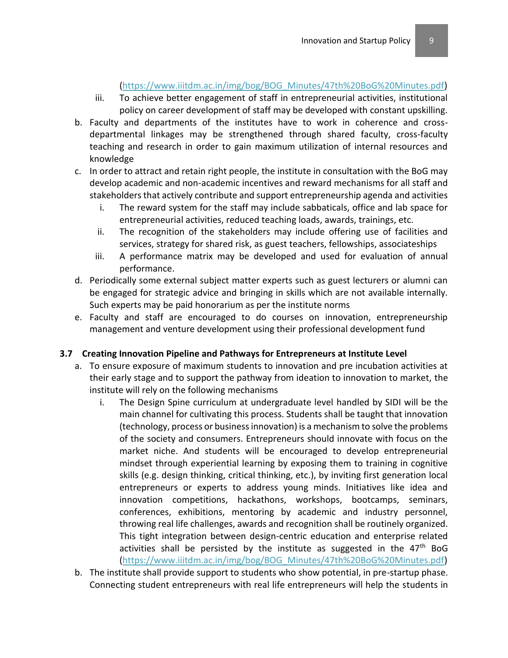#### [\(https://www.iiitdm.ac.in/img/bog/BOG\\_Minutes/47th%20BoG%20Minutes.pdf\)](https://www.iiitdm.ac.in/img/bog/BOG_Minutes/47th%20BoG%20Minutes.pdf)

- iii. To achieve better engagement of staff in entrepreneurial activities, institutional policy on career development of staff may be developed with constant upskilling.
- b. Faculty and departments of the institutes have to work in coherence and crossdepartmental linkages may be strengthened through shared faculty, cross-faculty teaching and research in order to gain maximum utilization of internal resources and knowledge
- c. In order to attract and retain right people, the institute in consultation with the BoG may develop academic and non-academic incentives and reward mechanisms for all staff and stakeholders that actively contribute and support entrepreneurship agenda and activities
	- i. The reward system for the staff may include sabbaticals, office and lab space for entrepreneurial activities, reduced teaching loads, awards, trainings, etc.
	- ii. The recognition of the stakeholders may include offering use of facilities and services, strategy for shared risk, as guest teachers, fellowships, associateships
	- iii. A performance matrix may be developed and used for evaluation of annual performance.
- d. Periodically some external subject matter experts such as guest lecturers or alumni can be engaged for strategic advice and bringing in skills which are not available internally. Such experts may be paid honorarium as per the institute norms
- e. Faculty and staff are encouraged to do courses on innovation, entrepreneurship management and venture development using their professional development fund

#### **3.7 Creating Innovation Pipeline and Pathways for Entrepreneurs at Institute Level**

- a. To ensure exposure of maximum students to innovation and pre incubation activities at their early stage and to support the pathway from ideation to innovation to market, the institute will rely on the following mechanisms
	- i. The Design Spine curriculum at undergraduate level handled by SIDI will be the main channel for cultivating this process. Students shall be taught that innovation (technology, process or business innovation) is a mechanism to solve the problems of the society and consumers. Entrepreneurs should innovate with focus on the market niche. And students will be encouraged to develop entrepreneurial mindset through experiential learning by exposing them to training in cognitive skills (e.g. design thinking, critical thinking, etc.), by inviting first generation local entrepreneurs or experts to address young minds. Initiatives like idea and innovation competitions, hackathons, workshops, bootcamps, seminars, conferences, exhibitions, mentoring by academic and industry personnel, throwing real life challenges, awards and recognition shall be routinely organized. This tight integration between design-centric education and enterprise related activities shall be persisted by the institute as suggested in the 47<sup>th</sup> BoG [\(https://www.iiitdm.ac.in/img/bog/BOG\\_Minutes/47th%20BoG%20Minutes.pdf\)](https://www.iiitdm.ac.in/img/bog/BOG_Minutes/47th%20BoG%20Minutes.pdf)
- b. The institute shall provide support to students who show potential, in pre-startup phase. Connecting student entrepreneurs with real life entrepreneurs will help the students in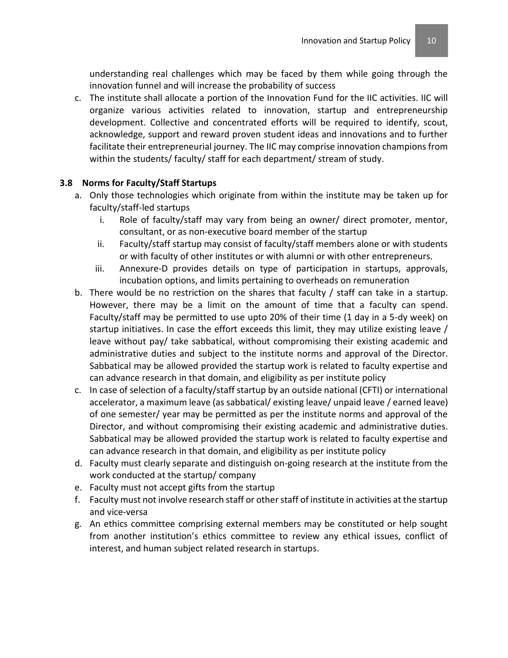understanding real challenges which may be faced by them while going through the innovation funnel and will increase the probability of success

c. The institute shall allocate a portion of the Innovation Fund for the IIC activities. IIC will organize various activities related to innovation, startup and entrepreneurship development. Collective and concentrated efforts will be required to identify, scout, acknowledge, support and reward proven student ideas and innovations and to further facilitate their entrepreneurial journey. The IIC may comprise innovation champions from within the students/ faculty/ staff for each department/ stream of study.

## **3.8 Norms for Faculty/Staff Startups**

- a. Only those technologies which originate from within the institute may be taken up for faculty/staff-led startups
	- i. Role of faculty/staff may vary from being an owner/ direct promoter, mentor, consultant, or as non-executive board member of the startup
	- ii. Faculty/staff startup may consist of faculty/staff members alone or with students or with faculty of other institutes or with alumni or with other entrepreneurs.
	- iii. Annexure-D provides details on type of participation in startups, approvals, incubation options, and limits pertaining to overheads on remuneration
- b. There would be no restriction on the shares that faculty / staff can take in a startup. However, there may be a limit on the amount of time that a faculty can spend. Faculty/staff may be permitted to use upto 20% of their time (1 day in a 5-dy week) on startup initiatives. In case the effort exceeds this limit, they may utilize existing leave / leave without pay/ take sabbatical, without compromising their existing academic and administrative duties and subject to the institute norms and approval of the Director. Sabbatical may be allowed provided the startup work is related to faculty expertise and can advance research in that domain, and eligibility as per institute policy
- c. In case of selection of a faculty/staff startup by an outside national (CFTI) or international accelerator, a maximum leave (as sabbatical/ existing leave/ unpaid leave / earned leave) of one semester/ year may be permitted as per the institute norms and approval of the Director, and without compromising their existing academic and administrative duties. Sabbatical may be allowed provided the startup work is related to faculty expertise and can advance research in that domain, and eligibility as per institute policy
- d. Faculty must clearly separate and distinguish on-going research at the institute from the work conducted at the startup/ company
- e. Faculty must not accept gifts from the startup
- f. Faculty must not involve research staff or other staff of institute in activities at the startup and vice-versa
- g. An ethics committee comprising external members may be constituted or help sought from another institution's ethics committee to review any ethical issues, conflict of interest, and human subject related research in startups.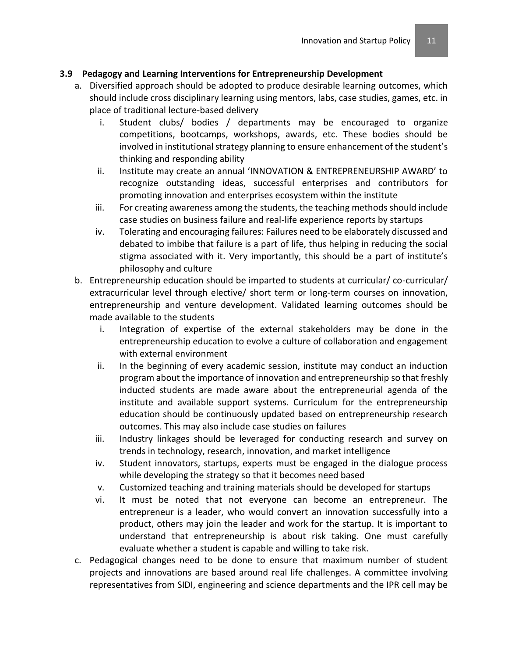## **3.9 Pedagogy and Learning Interventions for Entrepreneurship Development**

- a. Diversified approach should be adopted to produce desirable learning outcomes, which should include cross disciplinary learning using mentors, labs, case studies, games, etc. in place of traditional lecture-based delivery
	- i. Student clubs/ bodies / departments may be encouraged to organize competitions, bootcamps, workshops, awards, etc. These bodies should be involved in institutional strategy planning to ensure enhancement of the student's thinking and responding ability
	- ii. Institute may create an annual 'INNOVATION & ENTREPRENEURSHIP AWARD' to recognize outstanding ideas, successful enterprises and contributors for promoting innovation and enterprises ecosystem within the institute
	- iii. For creating awareness among the students, the teaching methods should include case studies on business failure and real-life experience reports by startups
	- iv. Tolerating and encouraging failures: Failures need to be elaborately discussed and debated to imbibe that failure is a part of life, thus helping in reducing the social stigma associated with it. Very importantly, this should be a part of institute's philosophy and culture
- b. Entrepreneurship education should be imparted to students at curricular/ co-curricular/ extracurricular level through elective/ short term or long-term courses on innovation, entrepreneurship and venture development. Validated learning outcomes should be made available to the students
	- i. Integration of expertise of the external stakeholders may be done in the entrepreneurship education to evolve a culture of collaboration and engagement with external environment
	- ii. In the beginning of every academic session, institute may conduct an induction program about the importance of innovation and entrepreneurship so that freshly inducted students are made aware about the entrepreneurial agenda of the institute and available support systems. Curriculum for the entrepreneurship education should be continuously updated based on entrepreneurship research outcomes. This may also include case studies on failures
	- iii. Industry linkages should be leveraged for conducting research and survey on trends in technology, research, innovation, and market intelligence
	- iv. Student innovators, startups, experts must be engaged in the dialogue process while developing the strategy so that it becomes need based
	- v. Customized teaching and training materials should be developed for startups
	- vi. It must be noted that not everyone can become an entrepreneur. The entrepreneur is a leader, who would convert an innovation successfully into a product, others may join the leader and work for the startup. It is important to understand that entrepreneurship is about risk taking. One must carefully evaluate whether a student is capable and willing to take risk.
- c. Pedagogical changes need to be done to ensure that maximum number of student projects and innovations are based around real life challenges. A committee involving representatives from SIDI, engineering and science departments and the IPR cell may be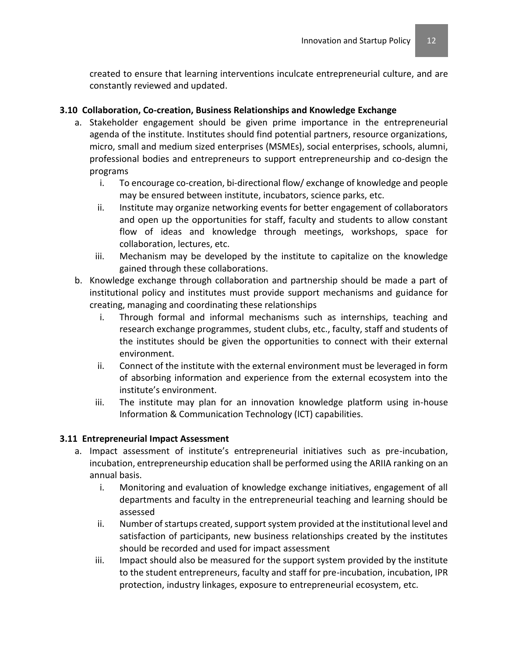created to ensure that learning interventions inculcate entrepreneurial culture, and are constantly reviewed and updated.

## **3.10 Collaboration, Co-creation, Business Relationships and Knowledge Exchange**

- a. Stakeholder engagement should be given prime importance in the entrepreneurial agenda of the institute. Institutes should find potential partners, resource organizations, micro, small and medium sized enterprises (MSMEs), social enterprises, schools, alumni, professional bodies and entrepreneurs to support entrepreneurship and co-design the programs
	- i. To encourage co-creation, bi-directional flow/ exchange of knowledge and people may be ensured between institute, incubators, science parks, etc.
	- ii. Institute may organize networking events for better engagement of collaborators and open up the opportunities for staff, faculty and students to allow constant flow of ideas and knowledge through meetings, workshops, space for collaboration, lectures, etc.
	- iii. Mechanism may be developed by the institute to capitalize on the knowledge gained through these collaborations.
- b. Knowledge exchange through collaboration and partnership should be made a part of institutional policy and institutes must provide support mechanisms and guidance for creating, managing and coordinating these relationships
	- i. Through formal and informal mechanisms such as internships, teaching and research exchange programmes, student clubs, etc., faculty, staff and students of the institutes should be given the opportunities to connect with their external environment.
	- ii. Connect of the institute with the external environment must be leveraged in form of absorbing information and experience from the external ecosystem into the institute's environment.
	- iii. The institute may plan for an innovation knowledge platform using in-house Information & Communication Technology (ICT) capabilities.

## **3.11 Entrepreneurial Impact Assessment**

- a. Impact assessment of institute's entrepreneurial initiatives such as pre-incubation, incubation, entrepreneurship education shall be performed using the ARIIA ranking on an annual basis.
	- i. Monitoring and evaluation of knowledge exchange initiatives, engagement of all departments and faculty in the entrepreneurial teaching and learning should be assessed
	- ii. Number of startups created, support system provided at the institutional level and satisfaction of participants, new business relationships created by the institutes should be recorded and used for impact assessment
	- iii. Impact should also be measured for the support system provided by the institute to the student entrepreneurs, faculty and staff for pre-incubation, incubation, IPR protection, industry linkages, exposure to entrepreneurial ecosystem, etc.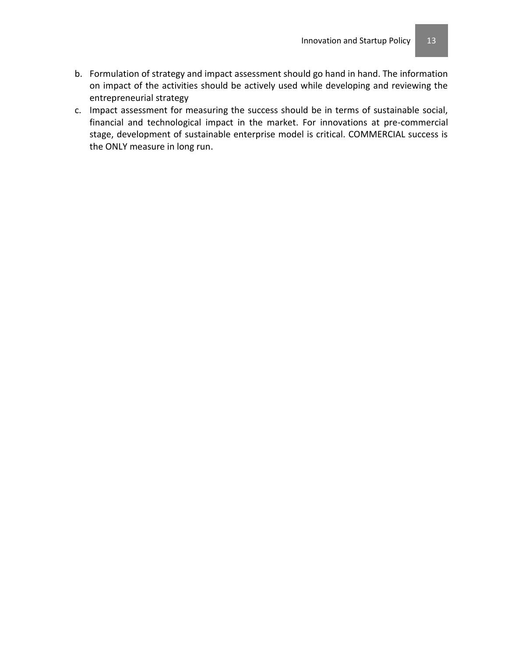- b. Formulation of strategy and impact assessment should go hand in hand. The information on impact of the activities should be actively used while developing and reviewing the entrepreneurial strategy
- c. Impact assessment for measuring the success should be in terms of sustainable social, financial and technological impact in the market. For innovations at pre-commercial stage, development of sustainable enterprise model is critical. COMMERCIAL success is the ONLY measure in long run.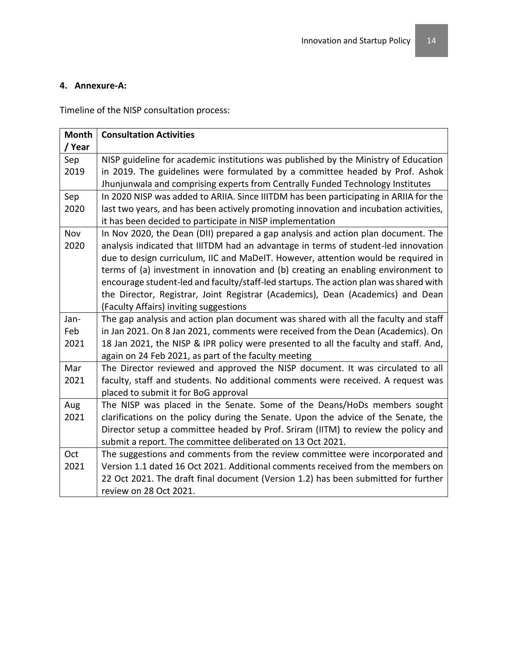#### **4. Annexure-A:**

Timeline of the NISP consultation process:

| <b>Month</b> | <b>Consultation Activities</b>                                                        |
|--------------|---------------------------------------------------------------------------------------|
| / Year       |                                                                                       |
| Sep          | NISP guideline for academic institutions was published by the Ministry of Education   |
| 2019         | in 2019. The guidelines were formulated by a committee headed by Prof. Ashok          |
|              | Jhunjunwala and comprising experts from Centrally Funded Technology Institutes        |
| Sep          | In 2020 NISP was added to ARIIA. Since IIITDM has been participating in ARIIA for the |
| 2020         | last two years, and has been actively promoting innovation and incubation activities, |
|              | it has been decided to participate in NISP implementation                             |
| Nov          | In Nov 2020, the Dean (DII) prepared a gap analysis and action plan document. The     |
| 2020         | analysis indicated that IIITDM had an advantage in terms of student-led innovation    |
|              | due to design curriculum, IIC and MaDeIT. However, attention would be required in     |
|              | terms of (a) investment in innovation and (b) creating an enabling environment to     |
|              | encourage student-led and faculty/staff-led startups. The action plan was shared with |
|              | the Director, Registrar, Joint Registrar (Academics), Dean (Academics) and Dean       |
|              | (Faculty Affairs) inviting suggestions                                                |
| Jan-         | The gap analysis and action plan document was shared with all the faculty and staff   |
| Feb          | in Jan 2021. On 8 Jan 2021, comments were received from the Dean (Academics). On      |
| 2021         | 18 Jan 2021, the NISP & IPR policy were presented to all the faculty and staff. And,  |
|              | again on 24 Feb 2021, as part of the faculty meeting                                  |
| Mar          | The Director reviewed and approved the NISP document. It was circulated to all        |
| 2021         | faculty, staff and students. No additional comments were received. A request was      |
|              | placed to submit it for BoG approval                                                  |
| Aug          | The NISP was placed in the Senate. Some of the Deans/HoDs members sought              |
| 2021         | clarifications on the policy during the Senate. Upon the advice of the Senate, the    |
|              | Director setup a committee headed by Prof. Sriram (IITM) to review the policy and     |
|              | submit a report. The committee deliberated on 13 Oct 2021.                            |
| Oct          | The suggestions and comments from the review committee were incorporated and          |
| 2021         | Version 1.1 dated 16 Oct 2021. Additional comments received from the members on       |
|              | 22 Oct 2021. The draft final document (Version 1.2) has been submitted for further    |
|              | review on 28 Oct 2021.                                                                |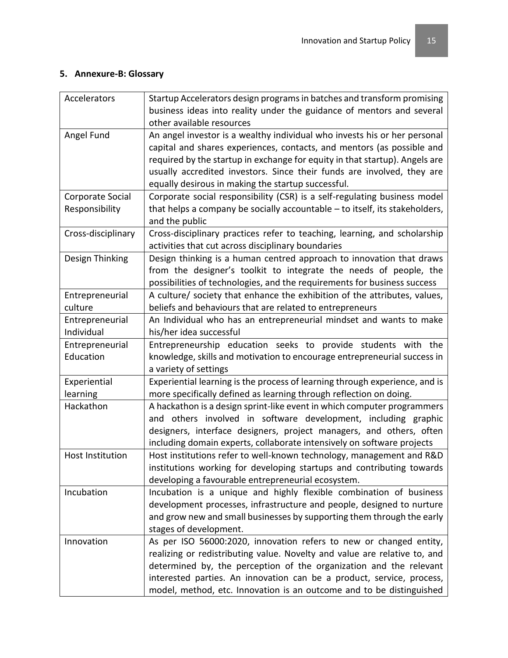## **5. Annexure-B: Glossary**

| Accelerators                       | Startup Accelerators design programs in batches and transform promising<br>business ideas into reality under the guidance of mentors and several<br>other available resources                                                                                                                                                                                          |
|------------------------------------|------------------------------------------------------------------------------------------------------------------------------------------------------------------------------------------------------------------------------------------------------------------------------------------------------------------------------------------------------------------------|
| Angel Fund                         | An angel investor is a wealthy individual who invests his or her personal<br>capital and shares experiences, contacts, and mentors (as possible and<br>required by the startup in exchange for equity in that startup). Angels are<br>usually accredited investors. Since their funds are involved, they are<br>equally desirous in making the startup successful.     |
| Corporate Social<br>Responsibility | Corporate social responsibility (CSR) is a self-regulating business model<br>that helps a company be socially accountable - to itself, its stakeholders,<br>and the public                                                                                                                                                                                             |
| Cross-disciplinary                 | Cross-disciplinary practices refer to teaching, learning, and scholarship<br>activities that cut across disciplinary boundaries                                                                                                                                                                                                                                        |
| Design Thinking                    | Design thinking is a human centred approach to innovation that draws<br>from the designer's toolkit to integrate the needs of people, the<br>possibilities of technologies, and the requirements for business success                                                                                                                                                  |
| Entrepreneurial<br>culture         | A culture/ society that enhance the exhibition of the attributes, values,<br>beliefs and behaviours that are related to entrepreneurs                                                                                                                                                                                                                                  |
| Entrepreneurial<br>Individual      | An Individual who has an entrepreneurial mindset and wants to make<br>his/her idea successful                                                                                                                                                                                                                                                                          |
| Entrepreneurial<br>Education       | Entrepreneurship education seeks to provide students with the<br>knowledge, skills and motivation to encourage entrepreneurial success in<br>a variety of settings                                                                                                                                                                                                     |
| Experiential<br>learning           | Experiential learning is the process of learning through experience, and is<br>more specifically defined as learning through reflection on doing.                                                                                                                                                                                                                      |
| Hackathon                          | A hackathon is a design sprint-like event in which computer programmers<br>and others involved in software development, including graphic<br>designers, interface designers, project managers, and others, often<br>including domain experts, collaborate intensively on software projects                                                                             |
| Host Institution                   | Host institutions refer to well-known technology, management and R&D<br>institutions working for developing startups and contributing towards<br>developing a favourable entrepreneurial ecosystem.                                                                                                                                                                    |
| Incubation                         | Incubation is a unique and highly flexible combination of business<br>development processes, infrastructure and people, designed to nurture<br>and grow new and small businesses by supporting them through the early<br>stages of development.                                                                                                                        |
| Innovation                         | As per ISO 56000:2020, innovation refers to new or changed entity,<br>realizing or redistributing value. Novelty and value are relative to, and<br>determined by, the perception of the organization and the relevant<br>interested parties. An innovation can be a product, service, process,<br>model, method, etc. Innovation is an outcome and to be distinguished |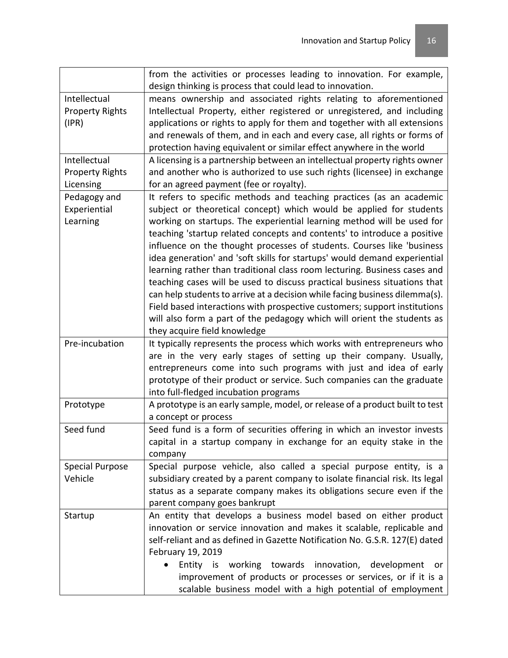|                        | from the activities or processes leading to innovation. For example,         |
|------------------------|------------------------------------------------------------------------------|
|                        | design thinking is process that could lead to innovation.                    |
| Intellectual           | means ownership and associated rights relating to aforementioned             |
| <b>Property Rights</b> | Intellectual Property, either registered or unregistered, and including      |
| (IPR)                  | applications or rights to apply for them and together with all extensions    |
|                        | and renewals of them, and in each and every case, all rights or forms of     |
|                        | protection having equivalent or similar effect anywhere in the world         |
| Intellectual           | A licensing is a partnership between an intellectual property rights owner   |
| <b>Property Rights</b> | and another who is authorized to use such rights (licensee) in exchange      |
| Licensing              | for an agreed payment (fee or royalty).                                      |
| Pedagogy and           | It refers to specific methods and teaching practices (as an academic         |
| Experiential           | subject or theoretical concept) which would be applied for students          |
| Learning               | working on startups. The experiential learning method will be used for       |
|                        | teaching 'startup related concepts and contents' to introduce a positive     |
|                        | influence on the thought processes of students. Courses like 'business       |
|                        | idea generation' and 'soft skills for startups' would demand experiential    |
|                        | learning rather than traditional class room lecturing. Business cases and    |
|                        | teaching cases will be used to discuss practical business situations that    |
|                        | can help students to arrive at a decision while facing business dilemma(s).  |
|                        | Field based interactions with prospective customers; support institutions    |
|                        | will also form a part of the pedagogy which will orient the students as      |
|                        | they acquire field knowledge                                                 |
| Pre-incubation         | It typically represents the process which works with entrepreneurs who       |
|                        | are in the very early stages of setting up their company. Usually,           |
|                        | entrepreneurs come into such programs with just and idea of early            |
|                        | prototype of their product or service. Such companies can the graduate       |
|                        | into full-fledged incubation programs                                        |
| Prototype              | A prototype is an early sample, model, or release of a product built to test |
|                        | a concept or process                                                         |
| Seed fund              | Seed fund is a form of securities offering in which an investor invests      |
|                        | capital in a startup company in exchange for an equity stake in the          |
|                        | company                                                                      |
| <b>Special Purpose</b> | Special purpose vehicle, also called a special purpose entity, is a          |
| Vehicle                | subsidiary created by a parent company to isolate financial risk. Its legal  |
|                        | status as a separate company makes its obligations secure even if the        |
|                        | parent company goes bankrupt                                                 |
| Startup                | An entity that develops a business model based on either product             |
|                        | innovation or service innovation and makes it scalable, replicable and       |
|                        | self-reliant and as defined in Gazette Notification No. G.S.R. 127(E) dated  |
|                        | February 19, 2019                                                            |
|                        | Entity is working towards innovation,<br>development<br>or                   |
|                        | improvement of products or processes or services, or if it is a              |
|                        | scalable business model with a high potential of employment                  |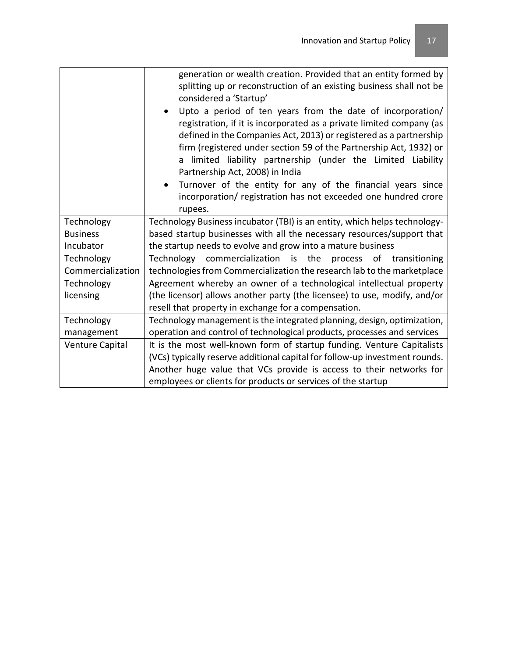|                   | generation or wealth creation. Provided that an entity formed by<br>splitting up or reconstruction of an existing business shall not be<br>considered a 'Startup'<br>Upto a period of ten years from the date of incorporation/<br>registration, if it is incorporated as a private limited company (as<br>defined in the Companies Act, 2013) or registered as a partnership<br>firm (registered under section 59 of the Partnership Act, 1932) or<br>a limited liability partnership (under the Limited Liability<br>Partnership Act, 2008) in India<br>Turnover of the entity for any of the financial years since<br>$\bullet$<br>incorporation/ registration has not exceeded one hundred crore<br>rupees. |
|-------------------|-----------------------------------------------------------------------------------------------------------------------------------------------------------------------------------------------------------------------------------------------------------------------------------------------------------------------------------------------------------------------------------------------------------------------------------------------------------------------------------------------------------------------------------------------------------------------------------------------------------------------------------------------------------------------------------------------------------------|
| Technology        | Technology Business incubator (TBI) is an entity, which helps technology-                                                                                                                                                                                                                                                                                                                                                                                                                                                                                                                                                                                                                                       |
| <b>Business</b>   | based startup businesses with all the necessary resources/support that                                                                                                                                                                                                                                                                                                                                                                                                                                                                                                                                                                                                                                          |
| Incubator         | the startup needs to evolve and grow into a mature business                                                                                                                                                                                                                                                                                                                                                                                                                                                                                                                                                                                                                                                     |
| Technology        | Technology commercialization is the<br>process of transitioning                                                                                                                                                                                                                                                                                                                                                                                                                                                                                                                                                                                                                                                 |
| Commercialization | technologies from Commercialization the research lab to the marketplace                                                                                                                                                                                                                                                                                                                                                                                                                                                                                                                                                                                                                                         |
| Technology        | Agreement whereby an owner of a technological intellectual property                                                                                                                                                                                                                                                                                                                                                                                                                                                                                                                                                                                                                                             |
| licensing         | (the licensor) allows another party (the licensee) to use, modify, and/or                                                                                                                                                                                                                                                                                                                                                                                                                                                                                                                                                                                                                                       |
|                   | resell that property in exchange for a compensation.                                                                                                                                                                                                                                                                                                                                                                                                                                                                                                                                                                                                                                                            |
| Technology        | Technology management is the integrated planning, design, optimization,                                                                                                                                                                                                                                                                                                                                                                                                                                                                                                                                                                                                                                         |
| management        | operation and control of technological products, processes and services                                                                                                                                                                                                                                                                                                                                                                                                                                                                                                                                                                                                                                         |
| Venture Capital   | It is the most well-known form of startup funding. Venture Capitalists                                                                                                                                                                                                                                                                                                                                                                                                                                                                                                                                                                                                                                          |
|                   | (VCs) typically reserve additional capital for follow-up investment rounds.                                                                                                                                                                                                                                                                                                                                                                                                                                                                                                                                                                                                                                     |
|                   | Another huge value that VCs provide is access to their networks for                                                                                                                                                                                                                                                                                                                                                                                                                                                                                                                                                                                                                                             |
|                   | employees or clients for products or services of the startup                                                                                                                                                                                                                                                                                                                                                                                                                                                                                                                                                                                                                                                    |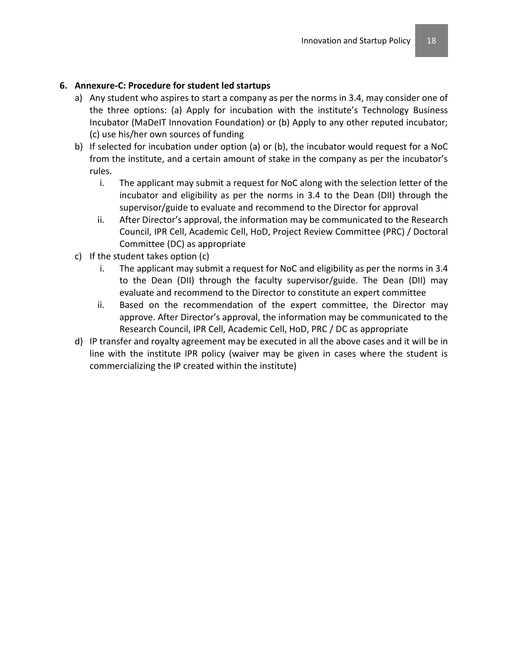## **6. Annexure-C: Procedure for student led startups**

- a) Any student who aspires to start a company as per the norms in 3.4, may consider one of the three options: (a) Apply for incubation with the institute's Technology Business Incubator (MaDeIT Innovation Foundation) or (b) Apply to any other reputed incubator; (c) use his/her own sources of funding
- b) If selected for incubation under option (a) or (b), the incubator would request for a NoC from the institute, and a certain amount of stake in the company as per the incubator's rules.
	- i. The applicant may submit a request for NoC along with the selection letter of the incubator and eligibility as per the norms in 3.4 to the Dean (DII) through the supervisor/guide to evaluate and recommend to the Director for approval
	- ii. After Director's approval, the information may be communicated to the Research Council, IPR Cell, Academic Cell, HoD, Project Review Committee (PRC) / Doctoral Committee (DC) as appropriate
- c) If the student takes option (c)
	- i. The applicant may submit a request for NoC and eligibility as per the norms in 3.4 to the Dean (DII) through the faculty supervisor/guide. The Dean (DII) may evaluate and recommend to the Director to constitute an expert committee
	- ii. Based on the recommendation of the expert committee, the Director may approve. After Director's approval, the information may be communicated to the Research Council, IPR Cell, Academic Cell, HoD, PRC / DC as appropriate
- d) IP transfer and royalty agreement may be executed in all the above cases and it will be in line with the institute IPR policy (waiver may be given in cases where the student is commercializing the IP created within the institute)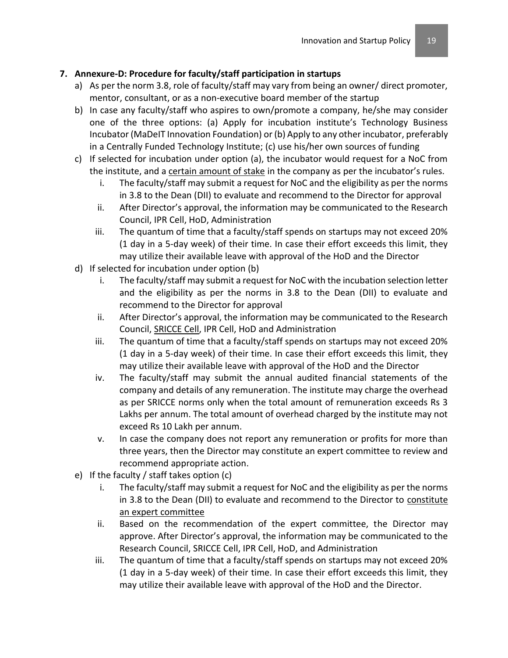# **7. Annexure-D: Procedure for faculty/staff participation in startups**

- a) As per the norm 3.8, role of faculty/staff may vary from being an owner/ direct promoter, mentor, consultant, or as a non-executive board member of the startup
- b) In case any faculty/staff who aspires to own/promote a company, he/she may consider one of the three options: (a) Apply for incubation institute's Technology Business Incubator (MaDeIT Innovation Foundation) or (b) Apply to any other incubator, preferably in a Centrally Funded Technology Institute; (c) use his/her own sources of funding
- c) If selected for incubation under option (a), the incubator would request for a NoC from the institute, and a certain amount of stake in the company as per the incubator's rules.
	- i. The faculty/staff may submit a request for NoC and the eligibility as per the norms in 3.8 to the Dean (DII) to evaluate and recommend to the Director for approval
	- ii. After Director's approval, the information may be communicated to the Research Council, IPR Cell, HoD, Administration
	- iii. The quantum of time that a faculty/staff spends on startups may not exceed 20% (1 day in a 5-day week) of their time. In case their effort exceeds this limit, they may utilize their available leave with approval of the HoD and the Director
- d) If selected for incubation under option (b)
	- i. The faculty/staff may submit a request for NoC with the incubation selection letter and the eligibility as per the norms in 3.8 to the Dean (DII) to evaluate and recommend to the Director for approval
	- ii. After Director's approval, the information may be communicated to the Research Council, SRICCE Cell, IPR Cell, HoD and Administration
	- iii. The quantum of time that a faculty/staff spends on startups may not exceed 20% (1 day in a 5-day week) of their time. In case their effort exceeds this limit, they may utilize their available leave with approval of the HoD and the Director
	- iv. The faculty/staff may submit the annual audited financial statements of the company and details of any remuneration. The institute may charge the overhead as per SRICCE norms only when the total amount of remuneration exceeds Rs 3 Lakhs per annum. The total amount of overhead charged by the institute may not exceed Rs 10 Lakh per annum.
	- v. In case the company does not report any remuneration or profits for more than three years, then the Director may constitute an expert committee to review and recommend appropriate action.
- e) If the faculty / staff takes option (c)
	- i. The faculty/staff may submit a request for NoC and the eligibility as per the norms in 3.8 to the Dean (DII) to evaluate and recommend to the Director to constitute an expert committee
	- ii. Based on the recommendation of the expert committee, the Director may approve. After Director's approval, the information may be communicated to the Research Council, SRICCE Cell, IPR Cell, HoD, and Administration
	- iii. The quantum of time that a faculty/staff spends on startups may not exceed 20% (1 day in a 5-day week) of their time. In case their effort exceeds this limit, they may utilize their available leave with approval of the HoD and the Director.